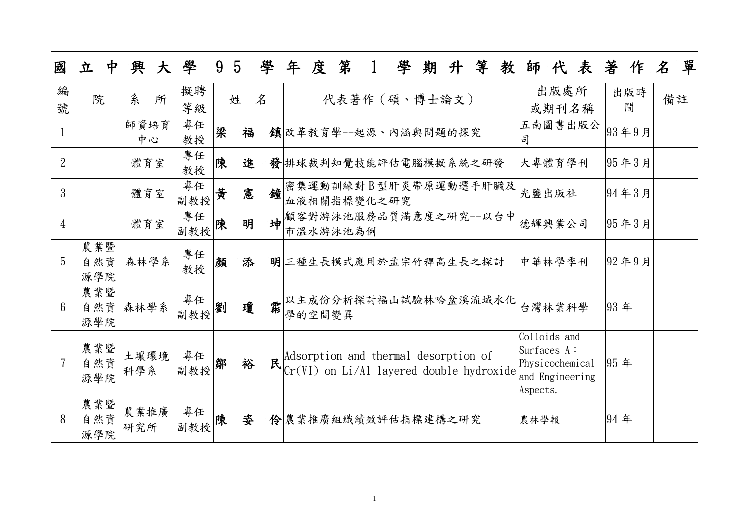| 國               | 立<br>中            | 興<br>大      | 學             | 9 | $5\overline{)}$ | 學 | 年      | 度 | 第        |             | 學                                                                                       | 期 | 升 | 等 | 教 | 師                                                                             | 代             | 表       | 著    | 作        | 名  | 單 |
|-----------------|-------------------|-------------|---------------|---|-----------------|---|--------|---|----------|-------------|-----------------------------------------------------------------------------------------|---|---|---|---|-------------------------------------------------------------------------------|---------------|---------|------|----------|----|---|
| 編<br>號          | 院                 | 糸<br>所      | 擬聘<br>等級      |   | 姓               | 名 |        |   |          |             | 代表著作 (碩、博士論文)                                                                           |   |   |   |   |                                                                               | 出版處所<br>或期刊名稱 |         |      | 出版時<br>間 | 備註 |   |
|                 |                   | 師資培育<br>中心  | 專任<br>教授      | 梁 | 福               |   |        |   |          |             | 鎮改革教育學--起源、內涵與問題的探究                                                                     |   |   |   |   | 司                                                                             |               | 五南圖書出版公 |      | 93年9月    |    |   |
| $\overline{2}$  |                   | 體育室         | 專任<br>教授      | 陳 | 進               |   |        |   |          |             | 發排球裁判知覺技能評估電腦模擬系統之研發                                                                    |   |   |   |   | 大專體育學刊                                                                        |               |         |      | 95年3月    |    |   |
| 3               |                   | 體育室         | 專任<br>副教授     | 黄 | 憲               | 鐘 |        |   |          | 血液相關指標變化之研究 | 密集運動訓練對B型肝炎帶原運動選手肝臟及                                                                    |   |   |   |   | 光鹽出版社                                                                         |               |         |      | 94年3月    |    |   |
| $\overline{4}$  |                   | 體育室         | 專任<br>副教授     | 陳 | 明               | 坤 |        |   | 市溫水游泳池為例 |             | 顧客對游泳池服務品質滿意度之研究--以台中                                                                   |   |   |   |   | 德輝興業公司                                                                        |               |         |      | 95年3月    |    |   |
| 5               | 農業暨<br>自然資<br>源學院 | 森林學系        | 專任<br>教授      | 顏 | 添               |   |        |   |          |             | 明三種生長模式應用於孟宗竹稈高生長之探討                                                                    |   |   |   |   | 中華林學季刊                                                                        |               |         |      | 92年9月    |    |   |
| $6\overline{6}$ | 農業暨<br>自然資<br>源學院 | 森林學系        | 專任<br>副教授     | 劉 | 瓊               | 需 | 學的空間變異 |   |          |             | 以主成份分析探討福山試驗林哈盆溪流域水化                                                                    |   |   |   |   | 台灣林業科學                                                                        |               |         | 93年  |          |    |   |
|                 | 農業暨<br>自然資<br>源學院 | 土壤環境<br>科學系 | 專任<br>副教授     | 鄒 | 裕               |   |        |   |          |             | Adsorption and thermal desorption of<br>$R$ $ Cr(VI)$ on Li/Al layered double hydroxide |   |   |   |   | Colloids and<br>Surfaces A:<br>Physicochemical<br>and Engineering<br>Aspects. |               |         | 95年  |          |    |   |
| 8               | 農業暨<br>自然資<br>源學院 | 農業推廣<br>研究所 | 專任<br> 副教授  陳 |   | 姿               |   |        |   |          |             | 伶農業推廣組織績效評估指標建構之研究                                                                      |   |   |   |   | 農林學報                                                                          |               |         | 94 年 |          |    |   |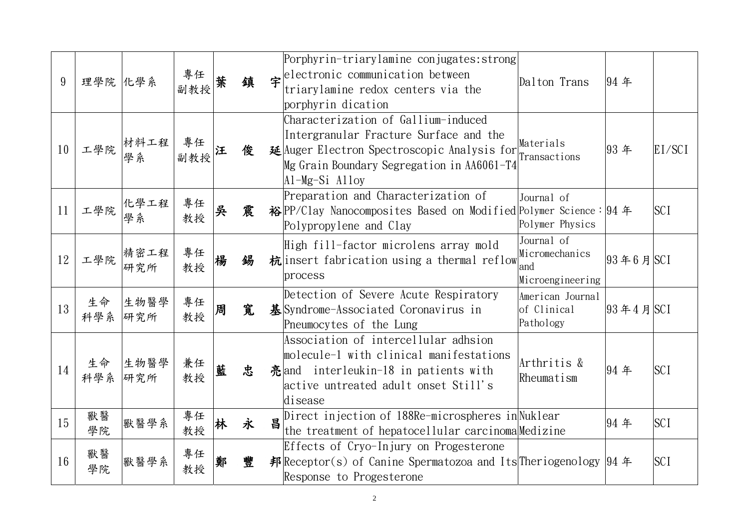| 9  | 理學院 化學系   |                   | 專任   葉<br>副教授 |   | 缜 |   | Porphyrin-triarylamine conjugates: strong<br>$\hat{\mathbf{\tau}}$ electronic communication between<br>triarylamine redox centers via the<br>porphyrin dication                                 | Dalton Trans                                            | 94年                 |            |
|----|-----------|-------------------|---------------|---|---|---|-------------------------------------------------------------------------------------------------------------------------------------------------------------------------------------------------|---------------------------------------------------------|---------------------|------------|
| 10 |           | 一學院 材料工程          | ■專任<br> 副教授   |   | 俊 |   | Characterization of Gallium-induced<br>Intergranular Fracture Surface and the<br>延Auger Electron Spectroscopic Analysis for<br>Mg Grain Boundary Segregation in AA6061-T4<br>$AI-Mg-Si$ $Alloy$ | Materials<br>Transactions                               | 93年                 | EI/SCI     |
| 11 |           | 工學院 作學工程<br>學院 學系 | 專任<br>教授      | 吳 | 震 |   | Preparation and Characterization of<br>裕 PP/Clay Nanocomposites Based on Modified Polymer Science : 94 年<br>Polypropylene and Clay                                                              | Journal of<br>Polymer Physics                           |                     | <b>SCI</b> |
| 12 | 工學院       | 精密工程<br>研究所       | 專任<br>教授      | 楊 | 錫 |   | High fill-factor microlens array mold<br>杭 insert fabrication using a thermal reflow<br>process                                                                                                 | Journal of<br>Micromechanics<br>and<br>Microengineering | $93 Ï 6$ 月 $SCI$    |            |
| 13 | 生命<br>科學系 | 生物醫學<br>研究所       | 專任<br>教授      | 周 | 寬 |   | Detection of Severe Acute Respiratory<br>基Syndrome-Associated Coronavirus in<br>Pneumocytes of the Lung                                                                                         | American Journal<br>of Clinical<br>Pathology            | $ 93 \n44 \n5 $ SCI |            |
| 14 | 生命<br>科學系 | 生物醫學<br>研究所       | 兼任<br>教授      | 藍 | 忠 |   | Association of intercellular adhsion<br>molecule-1 with clinical manifestations<br>亮 and interleukin-18 in patients with<br>active untreated adult onset Still's<br>disease                     | Arthritis &<br>Rheumatism                               | 94年                 | <b>SCI</b> |
| 15 | 獸醫<br>學院  | 默醫學系              | 專任<br>教授      |   | 永 | 昌 | Direct injection of 188Re-microspheres in Nuklear<br>the treatment of hepatocellular carcinoma Medizine                                                                                         |                                                         | 94年                 | <b>SCI</b> |
| 16 | 獸醫<br>學院  | 獸醫學系              | 專任<br>教授      | 鄭 | 豐 |   | Effects of Cryo-Injury on Progesterone<br>邦 Receptor(s) of Canine Spermatozoa and Its Theriogenology 94 年<br>Response to Progesterone                                                           |                                                         |                     | <b>SCI</b> |